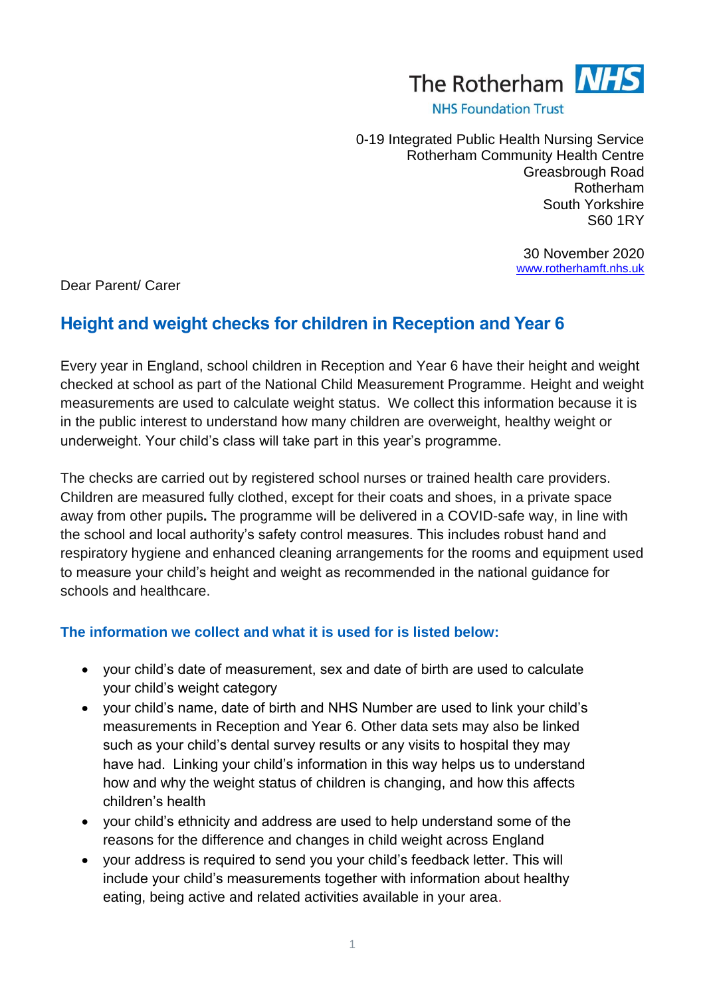

**NHS Foundation Trust** 

0-19 Integrated Public Health Nursing Service Rotherham Community Health Centre Greasbrough Road Rotherham South Yorkshire S60 1RY

> 30 November 2020 [www.rotherhamft.nhs.uk](http://www.rotherhamft.nhs.uk/)

Dear Parent/ Carer

# **Height and weight checks for children in Reception and Year 6**

Every year in England, school children in Reception and Year 6 have their height and weight checked at school as part of the National Child Measurement Programme. Height and weight measurements are used to calculate weight status. We collect this information because it is in the public interest to understand how many children are overweight, healthy weight or underweight. Your child's class will take part in this year's programme.

The checks are carried out by registered school nurses or trained health care providers. Children are measured fully clothed, except for their coats and shoes, in a private space away from other pupils**.** The programme will be delivered in a COVID-safe way, in line with the school and local authority's safety control measures. This includes robust hand and respiratory hygiene and enhanced cleaning arrangements for the rooms and equipment used to measure your child's height and weight as recommended in the national guidance for schools and healthcare.

#### **The information we collect and what it is used for is listed below:**

- your child's date of measurement, sex and date of birth are used to calculate your child's weight category
- vour child's name, date of birth and NHS Number are used to link your child's measurements in Reception and Year 6. Other data sets may also be linked such as your child's dental survey results or any visits to hospital they may have had. Linking your child's information in this way helps us to understand how and why the weight status of children is changing, and how this affects children's health
- your child's ethnicity and address are used to help understand some of the reasons for the difference and changes in child weight across England
- your address is required to send you your child's feedback letter. This will include your child's measurements together with information about healthy eating, being active and related activities available in your area.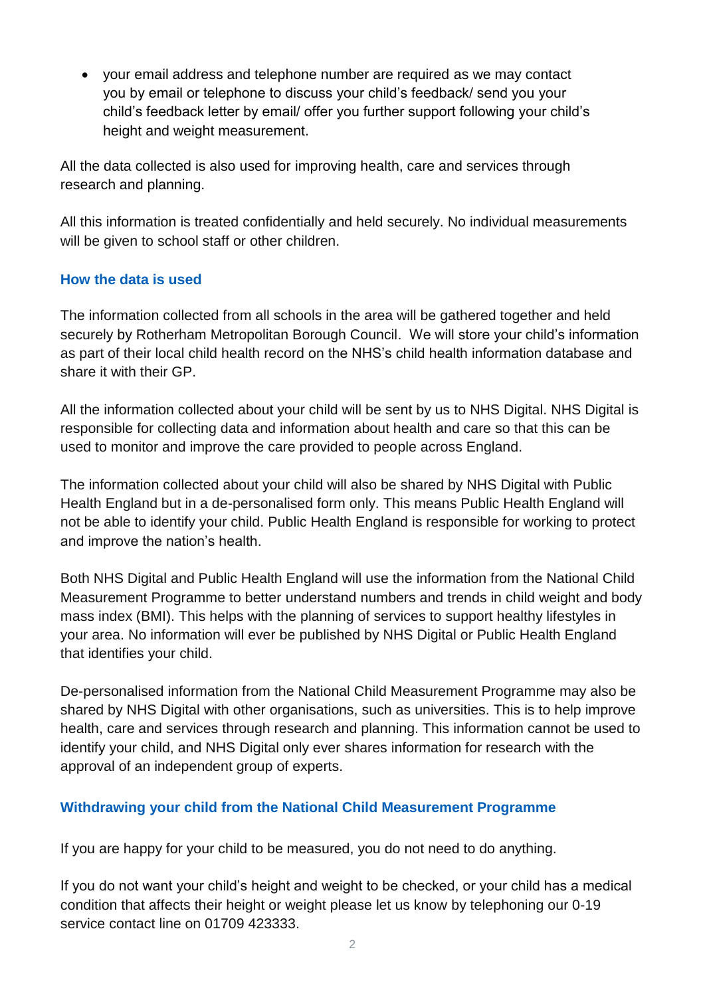your email address and telephone number are required as we may contact you by email or telephone to discuss your child's feedback/ send you your child's feedback letter by email/ offer you further support following your child's height and weight measurement.

All the data collected is also used for improving health, care and services through research and planning.

All this information is treated confidentially and held securely. No individual measurements will be given to school staff or other children.

### **How the data is used**

The information collected from all schools in the area will be gathered together and held securely by Rotherham Metropolitan Borough Council. We will store your child's information as part of their local child health record on the NHS's child health information database and share it with their GP.

All the information collected about your child will be sent by us to NHS Digital. NHS Digital is responsible for collecting data and information about health and care so that this can be used to monitor and improve the care provided to people across England.

The information collected about your child will also be shared by NHS Digital with Public Health England but in a de-personalised form only. This means Public Health England will not be able to identify your child. Public Health England is responsible for working to protect and improve the nation's health.

Both NHS Digital and Public Health England will use the information from the National Child Measurement Programme to better understand numbers and trends in child weight and body mass index (BMI). This helps with the planning of services to support healthy lifestyles in your area. No information will ever be published by NHS Digital or Public Health England that identifies your child.

De-personalised information from the National Child Measurement Programme may also be shared by NHS Digital with other organisations, such as universities. This is to help improve health, care and services through research and planning. This information cannot be used to identify your child, and NHS Digital only ever shares information for research with the approval of an independent group of experts.

## **Withdrawing your child from the National Child Measurement Programme**

If you are happy for your child to be measured, you do not need to do anything.

If you do not want your child's height and weight to be checked, or your child has a medical condition that affects their height or weight please let us know by telephoning our 0-19 service contact line on 01709 423333.